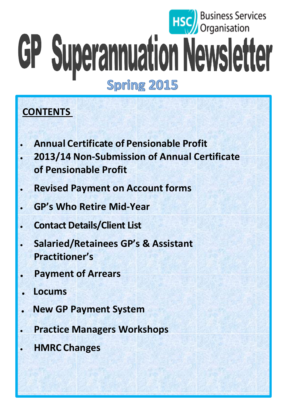# **Business Services**<br>Organisation GP Superannuation Newsletter **Spring 2015**

# **CONTENTS**

- **Annual Certificate of Pensionable Profit**
- **2013/14 Non-Submission of Annual Certificate of Pensionable Profit**
- **Revised Payment on Account forms**
- **GP's Who Retire Mid-Year**
- **Contact Details/Client List**
- **Salaried/Retainees GP's & Assistant Practitioner's**
- **. Payment of Arrears**
- **. Locums**
- **. New GP Payment System**
- **Practice Managers Workshops**
- **HMRC Changes**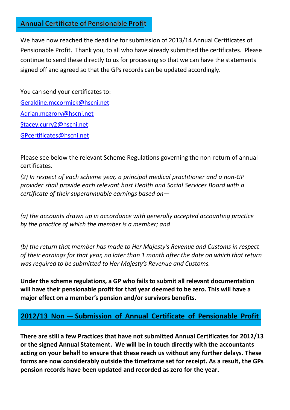#### **Annual Certificate of Pensionable Profit**

We have now reached the deadline for submission of 2013/14 Annual Certificates of Pensionable Profit. Thank you, to all who have already submitted the certificates. Please continue to send these directly to us for processing so that we can have the statements signed off and agreed so that the GPs records can be updated accordingly.

You can send your certificates to: [Geraldine.mccormick@hscni.net](mailto:Geraldine.mccormick@hscni.net) [Adrian.mcgrory@hscni.net](mailto:Adrian.mcgrory@hscni.net) [Stacey.curry2@hscni.net](mailto:Stacey.curry2@hscni.net) [GPcertificates@hscni.net](mailto:GPcertificates@hscni.net)

Please see below the relevant Scheme Regulations governing the non-return of annual certificates.

*(2) In respect of each scheme year, a principal medical practitioner and a non-GP provider shall provide each relevant host Health and Social Services Board with a certificate of their superannuable earnings based on—*

*(a) the accounts drawn up in accordance with generally accepted accounting practice by the practice of which the member is a member; and*

*(b) the return that member has made to Her Majesty's Revenue and Customs in respect of their earnings for that year, no later than 1 month after the date on which that return was required to be submitted to Her Majesty's Revenue and Customs.*

**Under the scheme regulations, a GP who fails to submit all relevant documentation will have their pensionable profit for that year deemed to be zero. This will have a major effect on a member's pension and/or survivors benefits.**

## **2012/13 Non — Submission of Annual Certificate of Pensionable Profit**

**There are still a few Practices that have not submitted Annual Certificates for 2012/13 or the signed Annual Statement. We will be in touch directly with the accountants acting on your behalf to ensure that these reach us without any further delays. These forms are now considerably outside the timeframe set for receipt. As a result, the GPs pension records have been updated and recorded as zero for the year.**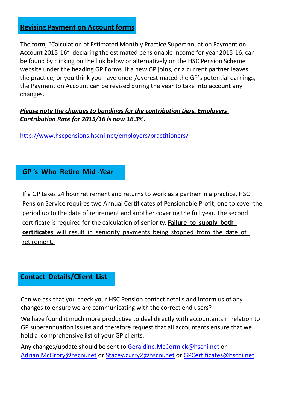#### **Revising Payment on Account forms**

The form; "Calculation of Estimated Monthly Practice Superannuation Payment on Account 2015-16" declaring the estimated pensionable income for year 2015-16, can be found by clicking on the link below or alternatively on the HSC Pension Scheme website under the heading GP Forms. If a new GP joins, or a current partner leaves the practice, or you think you have under/overestimated the GP's potential earnings, the Payment on Account can be revised during the year to take into account any changes.

#### *Please note the changes to bandings for the contribution tiers. Employers Contribution Rate for 2015/16 is now 16.3%.*

<http://www.hscpensions.hscni.net/employers/practitioners/>

#### **GP 's Who Retire Mid -Year**

If a GP takes 24 hour retirement and returns to work as a partner in a practice, HSC Pension Service requires two Annual Certificates of Pensionable Profit, one to cover the period up to the date of retirement and another covering the full year. The second certificate is required for the calculation of seniority. **Failure to supply both certificates** will result in seniority payments being stopped from the date of retirement.

## **Contact Details/Client List**

Can we ask that you check your HSC Pension contact details and inform us of any changes to ensure we are communicating with the correct end users?

We have found it much more productive to deal directly with accountants in relation to GP superannuation issues and therefore request that all accountants ensure that we hold a comprehensive list of your GP clients.

Any changes/update should be sent to [Geraldine.McCormick@hscni.net](mailto:Geraldine.McCormick@hscni.net) or [Adrian.McGrory@hscni.net](mailto:Adrian.McGrory@hscni.net) or [Stacey.curry2@hscni.net](mailto:Stacey.curry2@hscni.net) or [GPCertificates@hscni.net](mailto:GPCertificates@hscni.net)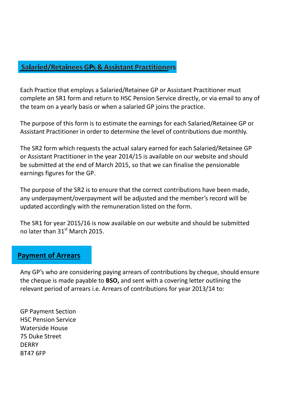#### **Salaried/Retainees GPs & Assistant Practitioners**

Each Practice that employs a Salaried/Retainee GP or Assistant Practitioner must complete an SR1 form and return to HSC Pension Service directly, or via email [to any of](mailto:Adrian.mcgrory@hscni.net)  [the team](mailto:Adrian.mcgrory@hscni.net) on a yearly basis or when a salaried GP joins the practice.

The purpose of this form is to estimate the earnings for each Salaried/Retainee GP or Assistant Practitioner in order to determine the level of contributions due monthly.

The SR2 form which requests the actual salary earned for each Salaried/Retainee GP or Assistant Practitioner in the year 2014/15 is available on our website and should be submitted at the end of March 2015, so that we can finalise the pensionable earnings figures for the GP.

The purpose of the SR2 is to ensure that the correct contributions have been made, any underpayment/overpayment will be adjusted and the member's record will be updated accordingly with the remuneration listed on the form.

The SR1 for year 2015/16 is now available on our website and should be submitted no later than 31<sup>st</sup> March 2015.

#### **Payment of Arrears**

Any GP's who are considering paying arrears of contributions by cheque, should ensure the cheque is made payable to **BSO,** and sent with a covering letter outlining the relevant period of arrears i.e. Arrears of contributions for year 2013/14 to:

GP Payment Section HSC Pension Service Waterside House 75 Duke Street **DERRY** BT47 6FP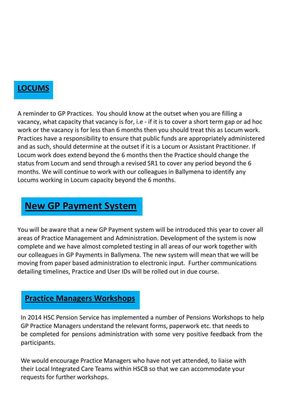## **LOCUMS**

A reminder to GP Practices. You should know at the outset when you are filling a vacancy, what capacity that vacancy is for, i.e - if it is to cover a short term gap or ad hoc work or the vacancy is for less than 6 months then you should treat this as Locum work. Practices have a responsibility to ensure that public funds are appropriately administered and as such, should determine at the outset if it is a Locum or Assistant Practitioner. If Locum work does extend beyond the 6 months then the Practice should change the status from Locum and send through a revised SR1 to cover any period beyond the 6 months. We will continue to work with our colleagues in Ballymena to identify any Locums working in Locum capacity beyond the 6 months.

# **New GP Payment System**

You will be aware that a new GP Payment system will be introduced this year to cover all areas of Practice Management and Administration. Development of the system is now complete and we have almost completed testing in all areas of our work together with our colleagues in GP Payments in Ballymena. The new system will mean that we will be moving from paper based administration to electronic input. Further communications detailing timelines, Practice and User IDs will be rolled out in due course.

## **Practice Managers Workshops**

In 2014 HSC Pension Service has implemented a number of Pensions Workshops to help GP Practice Managers understand the relevant forms, paperwork etc. that needs to be completed for pensions administration with some very positive feedback from the participants.

We would encourage Practice Managers who have not yet attended, to liaise with their Local Integrated Care Teams within HSCB so that we can accommodate your requests for further workshops.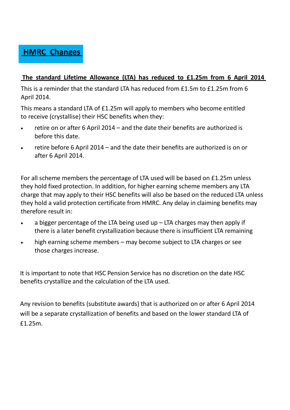

#### **The standard Lifetime Allowance (LTA) has reduced to £1.25m from 6 April 2014**

This is a reminder that the standard LTA has reduced from £1.5m to £1.25m from 6 April 2014.

This means a standard LTA of £1.25m will apply to members who become entitled to receive (crystallise) their HSC benefits when they:

- retire on or after 6 April 2014 and the date their benefits are authorized is before this date.
- retire before 6 April 2014 and the date their benefits are authorized is on or after 6 April 2014.

For all scheme members the percentage of LTA used will be based on £1.25m unless they hold fixed protection. In addition, for higher earning scheme members any LTA charge that may apply to their HSC benefits will also be based on the reduced LTA unless they hold a valid protection certificate from HMRC. Any delay in claiming benefits may therefore result in:

- a bigger percentage of the LTA being used up  $-$  LTA charges may then apply if there is a later benefit crystallization because there is insufficient LTA remaining
- high earning scheme members may become subject to LTA charges or see those charges increase.

It is important to note that HSC Pension Service has no discretion on the date HSC benefits crystallize and the calculation of the LTA used.

Any revision to benefits (substitute awards) that is authorized on or after 6 April 2014 will be a separate crystallization of benefits and based on the lower standard LTA of £1.25m.